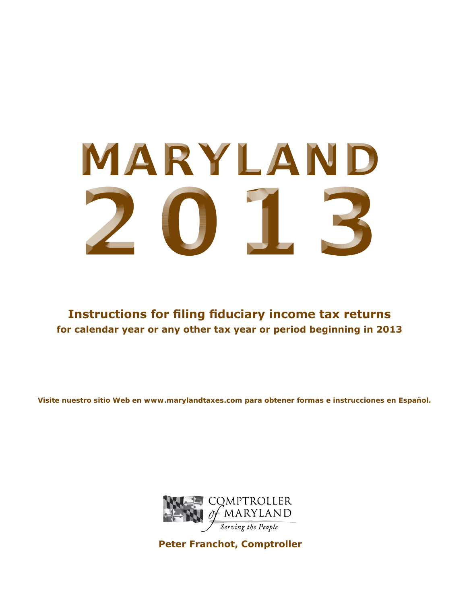# **MARYLAND 2013**

**Instructions for filing fiduciary income tax returns for calendar year or any other tax year or period beginning in 2013**

**Visite nuestro sitio Web en www.marylandtaxes.com para obtener formas e instrucciones en Español.**



**Peter Franchot, Comptroller**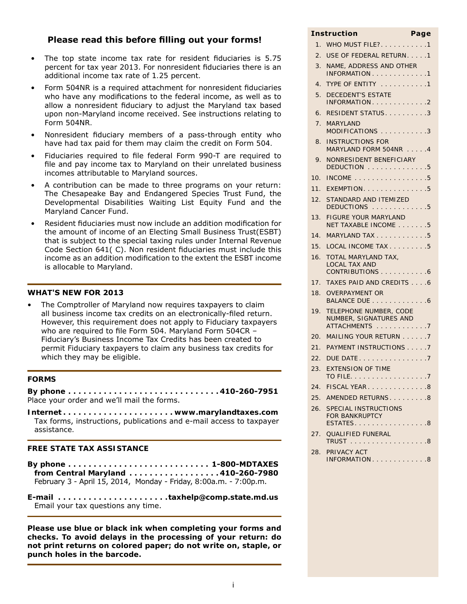## **Please read this before filling out your forms!**

- The top state income tax rate for resident fiduciaries is 5.75 percent for tax year 2013. For nonresident fiduciaries there is an additional income tax rate of 1.25 percent.
- Form 504NR is a required attachment for nonresident fiduciaries who have any modifications to the federal income, as well as to allow a nonresident fiduciary to adjust the Maryland tax based upon non-Maryland income received. See instructions relating to Form 504NR.
- Nonresident fiduciary members of a pass-through entity who have had tax paid for them may claim the credit on Form 504.
- Fiduciaries required to file federal Form 990-T are required to file and pay income tax to Maryland on their unrelated business incomes attributable to Maryland sources.
- A contribution can be made to three programs on your return: The Chesapeake Bay and Endangered Species Trust Fund, the Developmental Disabilities Waiting List Equity Fund and the Maryland Cancer Fund.
- Resident fiduciaries must now include an addition modification for the amount of income of an Electing Small Business Trust(ESBT) that is subject to the special taxing rules under Internal Revenue Code Section 641( C). Non resident fiduciaries must include this income as an addition modification to the extent the ESBT income is allocable to Maryland.

## **WHAT'S NEW FOR 2013**

The Comptroller of Maryland now requires taxpayers to claim all business income tax credits on an electronically-filed return. However, this requirement does not apply to Fiduciary taxpayers who are required to file Form 504. Maryland Form 504CR – Fiduciary's Business Income Tax Credits has been created to permit Fiduciary taxpayers to claim any business tax credits for which they may be eligible.

## **FORMS**

**By phone. . 410-260-7951** Place your order and we'll mail the forms.

**Internet. . www.marylandtaxes.com** Tax forms, instructions, publications and e-mail access to taxpayer assistance.

## **FREE STATE TAX ASSISTANCE**

**By phone. . . 1-800-MDTAXES from Central Maryland. . 410-260-7980** February 3 - April 15, 2014, Monday - Friday, 8:00a.m. - 7:00p.m.

**E-mail . taxhelp@comp.state.md.us** Email your tax questions any time.

**Please use blue or black ink when completing your forms and checks. To avoid delays in the processing of your return: do not print returns on colored paper; do not write on, staple, or punch holes in the barcode.**

## 1. WHO MUST FILE?. . . . . . . . . . . 1 2. USE OF FEDERAL RETURN....1 3. NAME, ADDRESS AND OTHER INFORMATION . . . . . . . . . . . . . 1 4. TYPE OF ENTITY . . . . . . . . . . . 1 5. DECEDENT'S ESTATE INFORMATION . . . . . . . . . . . . . 2 6. RESIDENT STATUS. . . . . . . . . . 3 7. MARYLAND MODIFICATIONS . . . . . . . . . . . 3 8. INSTRUCTIONS FOR MARYLAND FORM 504NR . . . . . 4 9. NONRESIDENT BENEFICIARY DEDUCTION . . . . . . . . . . . . . . 5 10. INCOME  $\ldots$ ,  $\ldots$ ,  $\ldots$ ,  $\ldots$ , 5 11. EXEMPTION. . . . . . . . . . . . . . . 5 12. STANDARD AND ITEMIZED DEDUCTIONS . . . . . . . . . . . . . 5 13. FIGURE YOUR MARYLAND NET TAXABLE INCOME . . . . . . . 5 14. MARYLAND TAX . . . . . . . . . . . . 5 15. LOCAL INCOME TAX . . . . . . . . . 5 16. TOTAL MARYLAND TAX, LOCAL TAX AND CONTRIBUTIONS . . . . . . . . . . . 6 17. TAXES PAID AND CREDITS . . . . 6 18. OVERPAYMENT OR BALANCE DUE . . . . . . . . . . . . . 6 19. TELEPHONE NUMBER, CODE NUMBER, SIGNATURES AND ATTACHMENTS . . . . . . . . . . . . 7 20. MAILING YOUR RETURN . . . . . . 7 21. PAYMENT INSTRUCTIONS.....7 22. DUE DATE. . 7 23. EXTENSION OF TIME TO FILE. . . . . . . . . . . . . . . . . .7 24. FISCAL YEAR. . . . . . . . . . . . . . 8  $25.$  AMENDED RETURNS.  $8.$ 26. SPECIAL INSTRUCTIONS FOR BANKRUPTCY ESTATES. . . . . . . . . . . . . . . . . 8 27. QUALIFIED FUNERAL TRUST . . . . . . . . . . . . . . . . . 8 28. PRIVACY ACT INFORMATION. . . . . . . . . . . . . 8

**Instruction Page**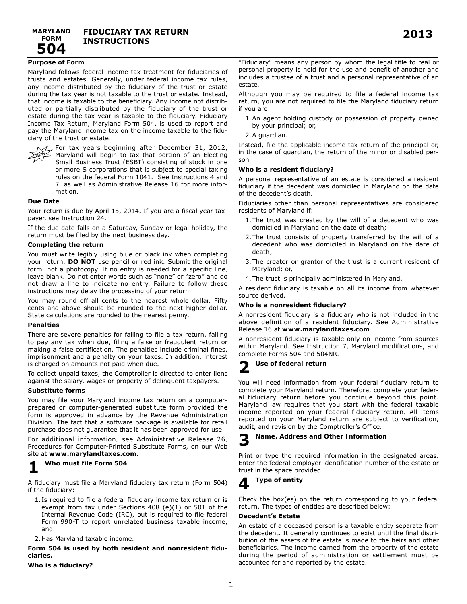## **Purpose of Form**

Maryland follows federal income tax treatment for fiduciaries of trusts and estates. Generally, under federal income tax rules, any income distributed by the fiduciary of the trust or estate during the tax year is not taxable to the trust or estate. Instead, that income is taxable to the beneficiary. Any income not distributed or partially distributed by the fiduciary of the trust or estate during the tax year is taxable to the fiduciary. Fiduciary Income Tax Return, Maryland Form 504, is used to report and pay the Maryland income tax on the income taxable to the fiduciary of the trust or estate.



 $1/2$  For tax years beginning after December 31, 2012,  $\sim$  Maryland will begin to tax that portion of an Electing Small Business Trust (ESBT) consisting of stock in one or more S corporations that is subject to special taxing rules on the federal Form 1041. See Instructions 4 and 7, as well as Administrative Release 16 for more information.

## **Due Date**

Your return is due by April 15, 2014. If you are a fiscal year taxpayer, see Instruction 24.

If the due date falls on a Saturday, Sunday or legal holiday, the return must be filed by the next business day.

## **Completing the return**

You must write legibly using blue or black ink when completing your return. **DO NOT** use pencil or red ink. Submit the original form, not a photocopy. If no entry is needed for a specific line, leave blank. Do not enter words such as "none" or "zero" and do not draw a line to indicate no entry. Failure to follow these instructions may delay the processing of your return.

You may round off all cents to the nearest whole dollar. Fifty cents and above should be rounded to the next higher dollar. State calculations are rounded to the nearest penny.

#### **Penalties**

There are severe penalties for failing to file a tax return, failing to pay any tax when due, filing a false or fraudulent return or making a false certification. The penalties include criminal fines, imprisonment and a penalty on your taxes. In addition, interest is charged on amounts not paid when due.

To collect unpaid taxes, the Comptroller is directed to enter liens against the salary, wages or property of delinquent taxpayers.

## **Substitute forms**

You may file your Maryland income tax return on a computerprepared or computer-generated substitute form provided the form is approved in advance by the Revenue Administration Division. The fact that a software package is available for retail purchase does not guarantee that it has been approved for use.

For additional information, see Administrative Release 26, Procedures for Computer-Printed Substitute Forms, on our Web site at **www.marylandtaxes.com**.

# **1 Who must file Form 504**

A fiduciary must file a Maryland fiduciary tax return (Form 504) if the fiduciary:

1. Is required to file a federal fiduciary income tax return or is exempt from tax under Sections 408 (e)(1) or 501 of the Internal Revenue Code (IRC), but is required to file federal Form 990-T to report unrelated business taxable income, and

2. Has Maryland taxable income.

**Form 504 is used by both resident and nonresident fiduciaries.** 

**Who is a fiduciary?**

"Fiduciary" means any person by whom the legal title to real or personal property is held for the use and benefit of another and includes a trustee of a trust and a personal representative of an estate.

Although you may be required to file a federal income tax return, you are not required to file the Maryland fiduciary return if you are:

- 1. An agent holding custody or possession of property owned by your principal; or,
- 2. A guardian.

Instead, file the applicable income tax return of the principal or, in the case of guardian, the return of the minor or disabled person.

## **Who is a resident fiduciary?**

A personal representative of an estate is considered a resident fiduciary if the decedent was domiciled in Maryland on the date of the decedent's death.

Fiduciaries other than personal representatives are considered residents of Maryland if:

- 1. The trust was created by the will of a decedent who was domiciled in Maryland on the date of death;
- 2. The trust consists of property transferred by the will of a decedent who was domiciled in Maryland on the date of death;
- 3. The creator or grantor of the trust is a current resident of Maryland; or,
- 4. The trust is principally administered in Maryland.

A resident fiduciary is taxable on all its income from whatever source derived.

## **Who is a nonresident fiduciary?**

A nonresident fiduciary is a fiduciary who is not included in the above definition of a resident fiduciary. See Administrative Release 16 at **www.marylandtaxes.com**.

A nonresident fiduciary is taxable only on income from sources within Maryland. See Instruction 7, Maryland modifications, and complete Forms 504 and 504NR.

## **2 Use of federal return**

You will need information from your federal fiduciary return to complete your Maryland return. Therefore, complete your federal fiduciary return before you continue beyond this point. Maryland law requires that you start with the federal taxable income reported on your federal fiduciary return. All items reported on your Maryland return are subject to verification, audit, and revision by the Comptroller's Office.

## **3 Name, Address and Other Information**

Print or type the required information in the designated areas. Enter the federal employer identification number of the estate or trust in the space provided.

## **4 Type of entity**

Check the box(es) on the return corresponding to your federal return. The types of entities are described below:

## **Decedent's Estate**

An estate of a deceased person is a taxable entity separate from the decedent. It generally continues to exist until the final distribution of the assets of the estate is made to the heirs and other beneficiaries. The income earned from the property of the estate during the period of administration or settlement must be accounted for and reported by the estate.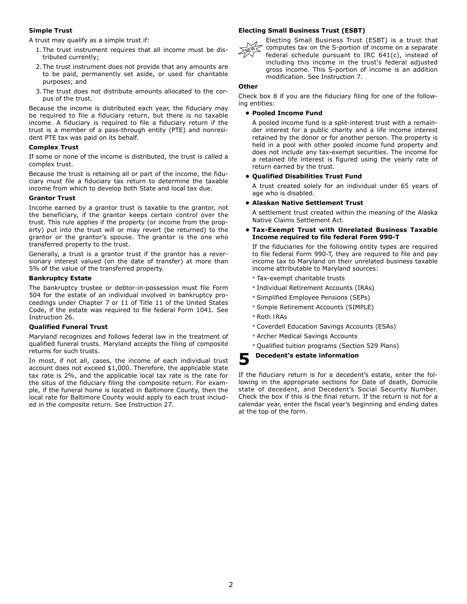## **Simple Trust**

A trust may qualify as a simple trust if:

- 1. The trust instrument requires that all income must be distributed currently;
- 2. The trust instrument does not provide that any amounts are to be paid, permanently set aside, or used for charitable purposes; and
- 3. The trust does not distribute amounts allocated to the corpus of the trust.

Because the income is distributed each year, the fiduciary may be required to file a fiduciary return, but there is no taxable income. A fiduciary is required to file a fiduciary return if the trust is a member of a pass-through entity (PTE) and nonresident PTE tax was paid on its behalf.

## **Complex Trust**

If some or none of the income is distributed, the trust is called a complex trust.

Because the trust is retaining all or part of the income, the fiduciary must file a fiduciary tax return to determine the taxable income from which to develop both State and local tax due.

## **Grantor Trust**

Income earned by a grantor trust is taxable to the grantor, not the beneficiary, if the grantor keeps certain control over the trust. This rule applies if the property (or income from the property) put into the trust will or may revert (be returned) to the grantor or the grantor's spouse. The grantor is the one who transferred property to the trust.

Generally, a trust is a grantor trust if the grantor has a reversionary interest valued (on the date of transfer) at more than 5% of the value of the transferred property.

## **Bankruptcy Estate**

The bankruptcy trustee or debtor-in-possession must file Form 504 for the estate of an individual involved in bankruptcy proceedings under Chapter 7 or 11 of Title 11 of the United States Code, if the estate was required to file federal Form 1041. See Instruction 26.

## **Qualified Funeral Trust**

Maryland recognizes and follows federal law in the treatment of qualified funeral trusts. Maryland accepts the filing of composite returns for such trusts.

In most, if not all, cases, the income of each individual trust account does not exceed \$1,000. Therefore, the applicable state tax rate is 2%, and the applicable local tax rate is the rate for the situs of the fiduciary filing the composite return. For example, if the funeral home is located in Baltimore County, then the local rate for Baltimore County would apply to each trust included in the composite return. See Instruction 27.

## **Electing Small Business Trust (ESBT)**



Electing Small Business Trust (ESBT) is a trust that computes tax on the S-portion of income on a separate federal schedule pursuant to IRC 641(c), instead of including this income in the trust's federal adjusted gross income. This S-portion of income is an addition modification. See Instruction 7.

## **Other**

Check box 8 if you are the fiduciary filing for one of the following entities:

## **• Pooled Income Fund**

A pooled income fund is a split-interest trust with a remainder interest for a public charity and a life income interest retained by the donor or for another person. The property is held in a pool with other pooled income fund property and does not include any tax-exempt securities. The income for a retained life interest is figured using the yearly rate of return earned by the trust.

## **• Qualified Disabilities Trust Fund**

A trust created solely for an individual under 65 years of age who is disabled.

## **• Alaskan Native Settlement Trust**

A settlement trust created within the meaning of the Alaska Native Claims Settlement Act.

## **• Tax-Exempt Trust with Unrelated Business Taxable Income required to file federal Form 990-T**

 If the fiduciaries for the following entity types are required to file federal Form 990-T, they are required to file and pay income tax to Maryland on their unrelated business taxable income attributable to Maryland sources:

- ° Tax-exempt charitable trusts
- ° Individual Retirement Accounts (IRAs)
- ° Simplified Employee Pensions (SEPs)
- ° Simple Retirement Accounts (SIMPLE)
- ° Roth IRAs
- ° Coverdell Education Savings Accounts (ESAs)
- ° Archer Medical Savings Accounts
- ° Qualified tuition programs (Section 529 Plans)

## **5 Decedent's estate information**

If the fiduciary return is for a decedent's estate, enter the following in the appropriate sections for Date of death, Domicile state of decedent, and Decedent's Social Security Number. Check the box if this is the final return. If the return is not for a calendar year, enter the fiscal year's beginning and ending dates at the top of the form.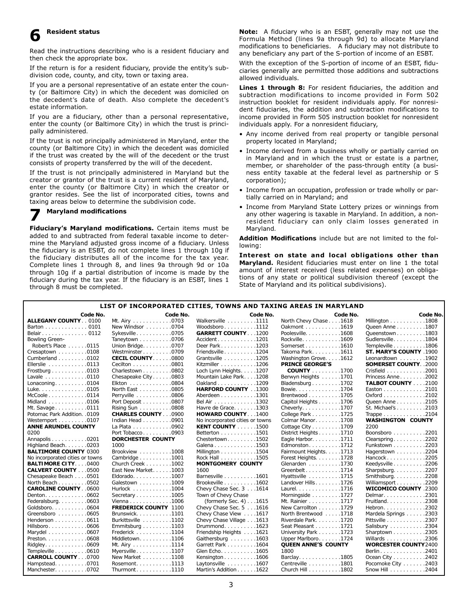## **6 Resident status**

Read the instructions describing who is a resident fiduciary and then check the appropriate box.

If the return is for a resident fiduciary, provide the entity's subdivision code, county, and city, town or taxing area.

If you are a personal representative of an estate enter the county (or Baltimore City) in which the decedent was domiciled on the decedent's date of death. Also complete the decedent's estate information.

If you are a fiduciary, other than a personal representative, enter the county (or Baltimore City) in which the trust is principally administered.

If the trust is not principally administered in Maryland, enter the county (or Baltimore City) in which the decedent was domiciled if the trust was created by the will of the decedent or the trust consists of property transferred by the will of the decedent.

If the trust is not principally administered in Maryland but the creator or grantor of the trust is a current resident of Maryland, enter the county (or Baltimore City) in which the creator or grantor resides. See the list of incorporated cities, towns and taxing areas below to determine the subdivision code.

## **7 Maryland modifications**

**Fiduciary's Maryland modifications.** Certain items must be added to and subtracted from federal taxable income to determine the Maryland adjusted gross income of a fiduciary. Unless the fiduciary is an ESBT, do not complete lines 1 through 10g if the fiduciary distributes all of the income for the tax year. Complete lines 1 through 8, and lines 9a through 9d or 10a through 10g if a partial distribution of income is made by the fiduciary during the tax year. If the fiduciary is an ESBT, lines 1 through 8 must be completed.

**Note:** A fiduciary who is an ESBT, generally may not use the Formula Method (lines 9a through 9d) to allocate Maryland modifications to beneficiaries. A fiduciary may not distribute to any beneficiary any part of the S-portion of income of an ESBT.

With the exception of the S-portion of income of an ESBT, fiduciaries generally are permitted those additions and subtractions allowed individuals.

**Lines 1 through 8:** For resident fiduciaries, the addition and subtraction modifications to income provided in Form 502 instruction booklet for resident individuals apply. For nonresident fiduciaries, the addition and subtraction modifications to income provided in Form 505 instruction booklet for nonresident individuals apply. For a nonresident fiduciary,

- Any income derived from real property or tangible personal property located in Maryland;
- Income derived from a business wholly or partially carried on in Maryland and in which the trust or estate is a partner, member, or shareholder of the pass-through entity (a business entity taxable at the federal level as partnership or S corporation);
- • Income from an occupation, profession or trade wholly or partially carried on in Maryland; and
- Income from Maryland State Lottery prizes or winnings from any other wagering is taxable in Maryland. In addition, a nonresident fiduciary can only claim losses generated in Maryland.

**Addition Modifications** include but are not limited to the following:

**Interest on state and local obligations other than Maryland.** Resident fiduciaries must enter on line 1 the total amount of interest received (less related expenses) on obligations of any state or political subdivision thereof (except the State of Maryland and its political subdivisions).

## **List of incorporated cities, towns and taxing areas in Maryland**

| Code No.                        | Code No.                     | Code No.                        | Code No.                                | <b>Code No</b>                            |
|---------------------------------|------------------------------|---------------------------------|-----------------------------------------|-------------------------------------------|
| <b>ALLEGANY COUNTY 0100</b>     | Mt. Airy 0703                | Walkersville 1111               | North Chevy Chase 1618                  | Millington 1808                           |
| Barton 0101                     | New Windsor 0704             | Woodsboro1112                   | Oakmont 1619                            | Queen Anne 1807                           |
| Belair0112                      | Sykesville0705               | <b>GARRETT COUNTY</b> 1200      | Poolesville. 1608                       | Queenstown1803                            |
| Bowling Green-                  | Taneytown 0706               | Accident1201                    | Rockville. 1609                         | Sudlersville1804                          |
| Robert's Place 0115             | Union Bridge. 0707           | Deer Park 1203                  | Somerset 1610                           | Templeville 1806                          |
| Cresaptown 0108                 | Westminster0709              | Friendsville 1204               | Takoma Park. 1611                       | ST. MARY'S COUNTY 1900                    |
| Cumberland 0102                 | <b>CECIL COUNTY 0800</b>     | Grantsville 1205                | Washington Grove. 1612                  | Leonardtown 1902                          |
| Ellerslie 0113                  | Cecilton 0801                | Kitzmiller 1206                 | <b>PRINCE GEORGE'S</b>                  | <b>SOMERSET COUNTY 2000</b>               |
| Frostburg 0103                  | Charlestown 0802             | Loch Lynn Heights. 1207         | <b>COUNTY</b> 1700                      | Crisfield 2001                            |
| Lavale 0110                     | Chesapeake City0803          | Mountain Lake Park. 1208        | Berwyn Heights 1701                     | Princess Anne2002                         |
| Lonaconing0104                  | Elkton 0804                  | Oakland 1209                    | Bladensburg $\ldots \ldots \ldots 1702$ | <b>TALBOT COUNTY 2100</b>                 |
| Luke. 0105                      | North East 0805              | HARFORD COUNTY 1300             | Bowie. 1704                             | Easton 2101                               |
| $McCoole$ 0114                  | Perryville 0806              | Aberdeen 1301                   | Brentwood 1705                          | Oxford 2102                               |
| Midland 0106                    | Port Deposit 0807            | Bel Air 1302                    | Capitol Heights 1706                    | Queen Anne 2105                           |
| Mt. Savage 0111                 | Rising Sun 0808              | Havre de Grace1303              | Cheverly1707                            | St. Michael's 2103                        |
| Potomac Park Addition. .0109    | <b>CHARLES COUNTY 0900</b>   | <b>HOWARD COUNTY 1400</b>       | College Park 1725                       | Trappe $\ldots \ldots \ldots \ldots 2104$ |
| Westernport 0107                | Indian Head 0901             | No incorporated cities or towns | Colmar Manor1708                        | <b>WASHINGTON COUNTY</b>                  |
| <b>ANNE ARUNDEL COUNTY</b>      | La Plata 0902                | <b>KENT COUNTY</b> 1500         | Cottage City 1709                       | 2200                                      |
| 0200                            | Port Tobacco0903             | Betterton 1501                  | District Heights 1710                   | Boonsboro 2201                            |
| Annapolis 0201                  | <b>DORCHESTER COUNTY</b>     | Chestertown1502                 | Eagle Harbor. 1711                      | Clearspring2202                           |
| Highland Beach. 0203            | 1000                         | Galena 1503                     | Edmonston1712                           | Funkstown 2203                            |
| <b>BALTIMORE COUNTY 0300</b>    | Brookview 1008               | Millington 1504                 | Fairmount Heights. 1713                 | Hagerstown $\ldots \ldots \ldots 2204$    |
| No incorporated cities or towns | Cambridge 1001               | Rock Hall 1505                  | Forest Heights. 1728                    | Hancock2205                               |
| <b>BALTIMORE CITY0400</b>       | Church Creek 1002            | <b>MONTGOMERY COUNTY</b>        | Glenarden 1730                          | Keedysville 2206                          |
| <b>CALVERT COUNTY 0500</b>      | East New Market. 1003        | 1600                            | Greenbelt1714                           | Sharpsburg2207                            |
| Chesapeake Beach 0501           | Eldorado1007                 | Barnesville 1601                | Hyattsville 1715                        | Smithsburg2208                            |
| North Beach 0502                | Galestown 1009               | Brookeville 1602                | Landover Hills. 1726                    | Williamsport 2209                         |
| <b>CAROLINE COUNTY 0600</b>     | Hurlock 1004                 | Chevy Chase Sec. 3 1614         | Laurel. 1716                            | <b>WICOMICO COUNTY .2300</b>              |
| Denton. 0602                    | Secretary 1005               | Town of Chevy Chase             | Morningside 1727                        | Delmar. 2301                              |
| Federalsburg0603                | Vienna 1006                  | (formerly Sec. 4) 1615          | Mt. Rainier 1717                        | Fruitland. 2308                           |
| Goldsboro0604                   | <b>FREDERICK COUNTY 1100</b> | Chevy Chase Sec. 5 1616         | New Carrollton 1729                     | Hebron. 2302                              |
| Greensboro 0605                 | Brunswick1101                | Chevy Chase View 1617           | North Brentwood 1718                    | Mardela Springs 2303                      |
| Henderson 0611                  | Burkittsville 1102           | Chevy Chase Village 1613        | Riverdale Park. 1720                    | Pittsville 2307                           |
| Hillsboro0606                   | Emmitsburg 1103              | Drummond. 1623                  | Seat Pleasant 1721                      | Salisbury 2304                            |
| Marydel 0607                    | Frederick 1104               | Friendship Heights 1621         | University Park 1723                    | Sharptown 2305                            |
| Preston. 0608                   | Middletown1106               | Gaithersburg 1603               | Upper Marlboro. 1724                    | Willards 2306                             |
| Ridgley0609                     | Mt. Airy 1114                | Garrett Park 1604               | <b>QUEEN ANNE'S COUNTY</b>              | <b>WORCESTER COUNTY 2400</b>              |
| Templeville 0610                | Myersville1107               | Glen Echo1605                   | 1800                                    | Berlin. 2401                              |
| <b>CARROLL COUNTY 0700</b>      | New Market 1108              | Kensington 1606                 | Barclay1805                             | Ocean City 2402                           |
| Hampstead. 0701                 | Rosemont. 1113               | Laytonsville 1607               | Centreville 1801                        | Pocomoke City 2403                        |
| Manchester 0702                 | Thurmont 1110                | Martin's Addition 1622          | Church Hill 1802                        | 2404<br>Snow Hill <b>Show</b>             |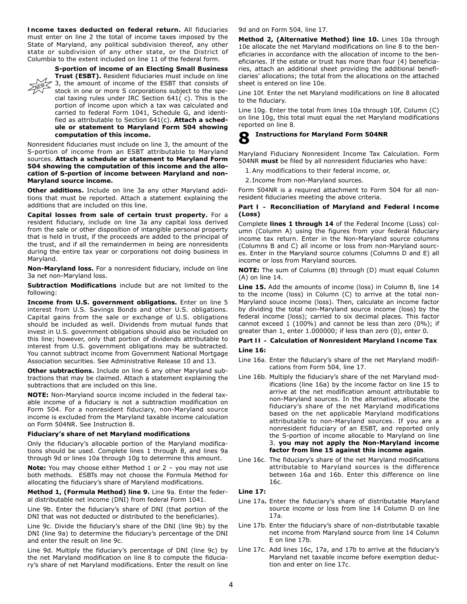**Income taxes deducted on federal return.** All fiduciaries must enter on line 2 the total of income taxes imposed by the State of Maryland, any political subdivision thereof, any other state or subdivision of any other state, or the District of Columbia to the extent included on line 11 of the federal form.



**S-portion of income of an Electing Small Business Trust (ESBT).** Resident fiduciaries must include on line 3, the amount of income of the ESBT that consists of stock in one or more S corporations subject to the special taxing rules under IRC Section 641( c). This is the portion of income upon which a tax was calculated and carried to federal Form 1041, Schedule G, and identified as attributable to Section 641(c). **Attach a schedule or statement to Maryland Form 504 showing computation of this income.**

Nonresident fiduciaries must include on line 3, the amount of the S-portion of income from an ESBT attributable to Maryland sources. **Attach a schedule or statement to Maryland Form 504 showing the computation of this income and the allocation of S-portion of income between Maryland and non-Maryland source income.**

**Other additions.** Include on line 3a any other Maryland additions that must be reported. Attach a statement explaining the additions that are included on this line.

**Capital losses from sale of certain trust property.** For a resident fiduciary, include on line 3a any capital loss derived from the sale or other disposition of intangible personal property that is held in trust, if the proceeds are added to the principal of the trust, and if all the remaindermen in being are nonresidents during the entire tax year or corporations not doing business in Maryland.

**Non-Maryland loss.** For a nonresident fiduciary, include on line 3a net non-Maryland loss.

**Subtraction Modifications** include but are not limited to the following:

**Income from U.S. government obligations.** Enter on line 5 interest from U.S. Savings Bonds and other U.S. obligations. Capital gains from the sale or exchange of U.S. obligations should be included as well. Dividends from mutual funds that invest in U.S. government obligations should also be included on this line; however, only that portion of dividends attributable to interest from U.S. government obligations may be subtracted. You cannot subtract income from Government National Mortgage Association securities. See Administrative Release 10 and 13.

**Other subtractions.** Include on line 6 any other Maryland subtractions that may be claimed. Attach a statement explaining the subtractions that are included on this line.

**NOTE:** Non-Maryland source income included in the federal taxable income of a fiduciary is not a subtraction modification on Form 504. For a nonresident fiduciary, non-Maryland source income is excluded from the Maryland taxable income calculation on Form 504NR. See Instruction 8.

## **Fiduciary's share of net Maryland modifications**

Only the fiduciary's allocable portion of the Maryland modifications should be used. Complete lines 1 through 8, and lines 9a through 9d or lines 10a through 10g to determine this amount.

**Note:** You may choose either Method 1 or 2 - you may not use both methods. ESBTs may not choose the Formula Method for allocating the fiduciary's share of Maryland modifications.

**Method 1, (Formula Method) line 9.** Line 9a. Enter the federal distributable net income (DNI) from federal Form 1041.

Line 9b. Enter the fiduciary's share of DNI (that portion of the DNI that was not deducted or distributed to the beneficiaries).

Line 9c. Divide the fiduciary's share of the DNI (line 9b) by the DNI (line 9a) to determine the fiduciary's percentage of the DNI and enter the result on line 9c.

Line 9d. Multiply the fiduciary's percentage of DNI (line 9c) by the net Maryland modification on line 8 to compute the fiduciary's share of net Maryland modifications. Enter the result on line

9d and on Form 504, line 17.

**Method 2, (Alternative Method) line 10.** Lines 10a through 10e allocate the net Maryland modifications on line 8 to the beneficiaries in accordance with the allocation of income to the beneficiaries. If the estate or trust has more than four (4) beneficiaries, attach an additional sheet providing the additional beneficiaries' allocations; the total from the allocations on the attached sheet is entered on line 10e.

Line 10f. Enter the net Maryland modifications on line 8 allocated to the fiduciary.

Line 10g. Enter the total from lines 10a through 10f, Column (C) on line 10g, this total must equal the net Maryland modifications reported on line 8.

## **8 Instructions for Maryland Form 504NR**

Maryland Fiduciary Nonresident Income Tax Calculation. Form 504NR **must** be filed by all nonresident fiduciaries who have:

1. Any modifications to their federal income, or,

2. Income from non-Maryland sources.

Form 504NR is a required attachment to Form 504 for all nonresident fiduciaries meeting the above criteria.

## **Part I – Reconciliation of Maryland and Federal Income (Loss)**

Complete **lines 1 through 14** of the Federal Income (Loss) column (Column A) using the figures from your federal fiduciary income tax return. Enter in the Non-Maryland source columns (Columns B and C) all income or loss from non-Maryland sources. Enter in the Maryland source columns (Columns D and E) all income or loss from Maryland sources.

**NOTE:** The sum of Columns (B) through (D) must equal Column (A) on line 14.

**Line 15.** Add the amounts of income (loss) in Column B, line 14 to the income (loss) in Column (C) to arrive at the total non-Maryland souce income (loss). Then, calculate an income factor by dividing the total non-Maryland source income (loss) by the federal income (loss); carried to six decimal places. This factor cannot exceed 1 (100%) and cannot be less than zero (0%); if greater than 1, enter 1.000000; if less than zero (0), enter 0.

## **Part II – Calculation of Nonresident Maryland Income Tax Line 16:**

- *Line 16a.* Enter the fiduciary's share of the net Maryland modifications from Form 504, line 17.
- Line 16b. Multiply the fiduciary's share of the net Maryland modifications (line 16a) by the income factor on line 15 to arrive at the net modification amount attributable to non-Maryland sources. In the alternative, allocate the fiduciary's share of the net Maryland modifications based on the net applicable Maryland modifications attributable to non-Maryland sources. If you are a nonresident fiduciary of an ESBT, and reported only the S-portion of income allocable to Maryland on line 3, **you may not apply the Non-Maryland income factor from line 15 against this income again**.
- Line 16c. The fiduciary's share of the net Maryland modifications attributable to Maryland sources is the difference between 16a and 16b. Enter this difference on line  $16c$

## **Line 17:**

- Line 17a. Enter the fiduciary's share of distributable Maryland source income or loss from line 14 Column D on line 17a.
- *Line 17b.* Enter the fiduciary's share of non-distributable taxable net income from Maryland source from line 14 Column E on line 17b.
- *Line 17c.* Add lines 16c, 17a, and 17b to arrive at the fiduciary's Maryland net taxable income before exemption deduction and enter on line 17c.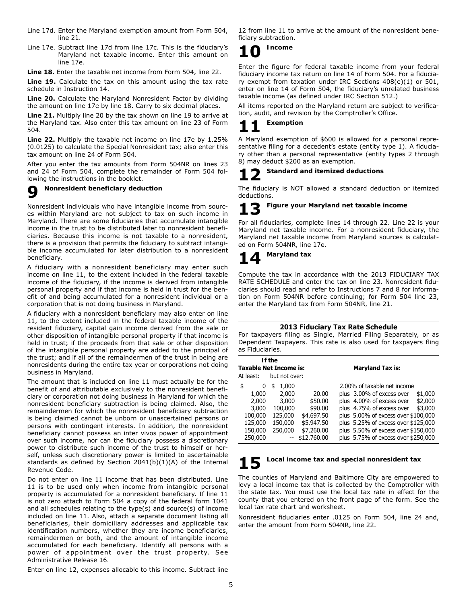- *Line 17d.* Enter the Maryland exemption amount from Form 504, line 21.
- *Line 17e.* Subtract line 17d from line 17c. This is the fiduciary's Maryland net taxable income. Enter this amount on line 17e.
- **Line 18.** Enter the taxable net income from Form 504, line 22.

Line 19. Calculate the tax on this amount using the tax rate schedule in Instruction 14.

**Line 20.** Calculate the Maryland Nonresident Factor by dividing the amount on line 17e by line 18. Carry to six decimal places.

Line 21. Multiply line 20 by the tax shown on line 19 to arrive at the Maryland tax. Also enter this tax amount on line 23 of Form 504.

**Line 22.** Multiply the taxable net income on line 17e by 1.25% (0.0125) to calculate the Special Nonresident tax; also enter this tax amount on line 24 of Form 504.

After you enter the tax amounts from Form 504NR on lines 23 and 24 of Form 504, complete the remainder of Form 504 following the instructions in the booklet.

## **9 Nonresident beneficiary deduction**

Nonresident individuals who have intangible income from sources within Maryland are not subject to tax on such income in Maryland. There are some fiduciaries that accumulate intangible income in the trust to be distributed later to nonresident beneficiaries. Because this income is not taxable to a nonresident, there is a provision that permits the fiduciary to subtract intangible income accumulated for later distribution to a nonresident beneficiary.

A fiduciary with a nonresident beneficiary may enter such income on line 11, to the extent included in the federal taxable income of the fiduciary, if the income is derived from intangible personal property and if that income is held in trust for the benefit of and being accumulated for a nonresident individual or a corporation that is not doing business in Maryland.

A fiduciary with a nonresident beneficiary may also enter on line 11, to the extent included in the federal taxable income of the resident fiduciary, capital gain income derived from the sale or other disposition of intangible personal property if that income is held in trust; if the proceeds from that sale or other disposition of the intangible personal property are added to the principal of the trust; and if all of the remaindermen of the trust in being are nonresidents during the entire tax year or corporations not doing business in Maryland.

The amount that is included on line 11 must actually be for the benefit of and attributable exclusively to the nonresident beneficiary or corporation not doing business in Maryland for which the nonresident beneficiary subtraction is being claimed. Also, the remaindermen for which the nonresident beneficiary subtraction is being claimed cannot be unborn or unascertained persons or persons with contingent interests. In addition, the nonresident beneficiary cannot possess an inter vivos power of appointment over such income, nor can the fiduciary possess a discretionary power to distribute such income of the trust to himself or herself, unless such discretionary power is limited to ascertainable standards as defined by Section 2041(b)(1)(A) of the Internal Revenue Code.

Do not enter on line 11 income that has been distributed. Line 11 is to be used only when income from intangible personal property is accumulated for a nonresident beneficiary. If line 11 is not zero attach to Form 504 a copy of the federal form 1041 and all schedules relating to the type(s) and source(s) of income included on line 11. Also, attach a separate document listing all beneficiaries, their domiciliary addresses and applicable tax identification numbers, whether they are income beneficiaries, remaindermen or both, and the amount of intangible income accumulated for each beneficiary. Identify all persons with a power of appointment over the trust property. See Administrative Release 16.

Enter on line 12, expenses allocable to this income. Subtract line

12 from line 11 to arrive at the amount of the nonresident beneficiary subtraction.

# **10 Income**

Enter the figure for federal taxable income from your federal fiduciary income tax return on line 14 of Form 504. For a fiduciary exempt from taxation under IRC Sections 408(e)(1) or 501, enter on line 14 of Form 504, the fiduciary's unrelated business taxable income (as defined under IRC Section 512.)

All items reported on the Maryland return are subject to verification, audit, and revision by the Comptroller's Office.

## **11 Exemption**

A Maryland exemption of \$600 is allowed for a personal representative filing for a decedent's estate (entity type 1). A fiduciary other than a personal representative (entity types 2 through 8) may deduct \$200 as an exemption.

# **12 Standard and itemized deductions**

The fiduciary is NOT allowed a standard deduction or itemized deductions.

# **13 Figure your Maryland net taxable income**

For all fiduciaries, complete lines 14 through 22. Line 22 is your Maryland net taxable income. For a nonresident fiduciary, the Maryland net taxable income from Maryland sources is calculated on Form 504NR, line 17e.

# **14 Maryland tax**

Compute the tax in accordance with the 2013 FIDUCIARY TAX RATE SCHEDULE and enter the tax on line 23. Nonresident fiduciaries should read and refer to Instructions 7 and 8 for information on Form 504NR before continuing; for Form 504 line 23, enter the Maryland tax from Form 504NR, line 21.

## **2013 Fiduciary Tax Rate Schedule**

For taxpayers filing as Single, Married Filing Separately, or as Dependent Taxpayers. This rate is also used for taxpayers fling as Fiduciaries.

| <b>Taxable Net Income is:</b>                                       | If the                                                                    |                                                                       | <b>Maryland Tax is:</b>                                                                                                                                                                                                                                                  |
|---------------------------------------------------------------------|---------------------------------------------------------------------------|-----------------------------------------------------------------------|--------------------------------------------------------------------------------------------------------------------------------------------------------------------------------------------------------------------------------------------------------------------------|
| At least:                                                           | but not over:                                                             |                                                                       |                                                                                                                                                                                                                                                                          |
| \$<br>0<br>1,000<br>2,000<br>3,000<br>100,000<br>125,000<br>150,000 | 1,000<br>\$<br>2,000<br>3,000<br>100,000<br>125,000<br>150,000<br>250,000 | 20.00<br>\$50.00<br>\$90.00<br>\$4,697.50<br>\$5,947.50<br>\$7,260.00 | 2.00% of taxable net income<br>plus 3.00% of excess over<br>\$1,000<br>\$2,000<br>plus 4.00% of excess over<br>plus 4.75% of excess over<br>\$3,000<br>plus 5.00% of excess over \$100,000<br>plus 5.25% of excess over \$125,000<br>plus 5.50% of excess over \$150,000 |
| 250,000                                                             |                                                                           | \$12,760.00                                                           | plus 5.75% of excess over \$250,000                                                                                                                                                                                                                                      |

# **15 Local income tax and special nonresident tax**

The counties of Maryland and Baltimore City are empowered to levy a local income tax that is collected by the Comptroller with the state tax. You must use the local tax rate in effect for the county that you entered on the front page of the form. See the local tax rate chart and worksheet.

Nonresident fiduciaries enter .0125 on Form 504, line 24 and, enter the amount from Form 504NR, line 22.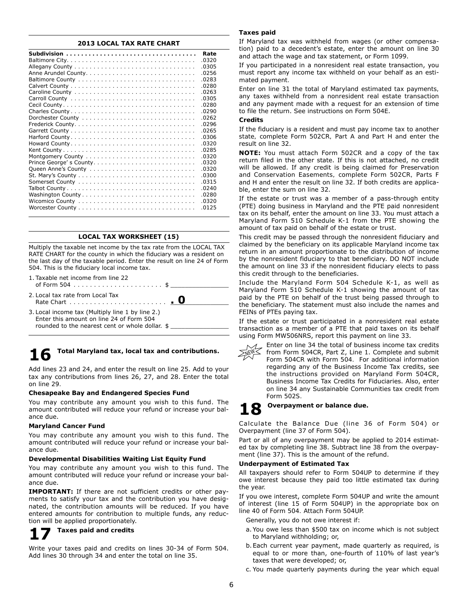## **2013 LOCAL TAX RATE CHART**

| Rate  |
|-------|
| .0320 |
| .0305 |
| .0256 |
| .0283 |
| .0280 |
| .0263 |
| 0305  |
| .0280 |
| 0290  |
| .0262 |
| .0296 |
| .0265 |
| .0306 |
| .0320 |
| .0285 |
| .0320 |
| .0320 |
| .0320 |
| .0300 |
| 0315  |
| .0240 |
| 0280  |
| .0320 |
| 0125  |

## **LOCAL TAX WORKSHEET (15)**

Multiply the taxable net income by the tax rate from the LOCAL TAX RATE CHART for the county in which the fiduciary was a resident on the last day of the taxable period. Enter the result on line 24 of Form 504. This is the fiduciary local income tax.

- 1. Taxable net income from line 22 of Form 504  $\ldots \ldots \ldots \ldots \ldots \ldots \ldots$ 2. Local tax rate from Local Tax Rate Chart. . . \_\_\_\_\_\_\_\_\_\_\_\_\_\_\_\_ 3. Local income tax (Multiply line 1 by line 2.) Enter this amount on line 24 of Form 504 **. 0**
- rounded to the nearest cent or whole dollar. \$

## **16 Total Maryland tax, local tax and contributions.**

Add lines 23 and 24, and enter the result on line 25. Add to your tax any contributions from lines 26, 27, and 28. Enter the total on line 29.

#### **Chesapeake Bay and Endangered Species Fund**

You may contribute any amount you wish to this fund. The amount contributed will reduce your refund or increase your balance due.

## **Maryland Cancer Fund**

You may contribute any amount you wish to this fund. The amount contributed will reduce your refund or increase your balance due.

## **Developmental Disabilities Waiting List Equity Fund**

You may contribute any amount you wish to this fund. The amount contributed will reduce your refund or increase your balance due.

**IMPORTANT:** If there are not sufficient credits or other payments to satisfy your tax and the contribution you have designated, the contribution amounts will be reduced. If you have entered amounts for contribution to multiple funds, any reduction will be applied proportionately.

## **17 Taxes paid and credits**

Write your taxes paid and credits on lines 30-34 of Form 504. Add lines 30 through 34 and enter the total on line 35.

## **Taxes paid**

If Maryland tax was withheld from wages (or other compensation) paid to a decedent's estate, enter the amount on line 30 and attach the wage and tax statement, or Form 1099.

If you participated in a nonresident real estate transaction, you must report any income tax withheld on your behalf as an estimated payment.

Enter on line 31 the total of Maryland estimated tax payments, any taxes withheld from a nonresident real estate transaction and any payment made with a request for an extension of time to file the return. See instructions on Form 504E.

## **Credits**

If the fiduciary is a resident and must pay income tax to another state, complete Form 502CR, Part A and Part H and enter the result on line 32.

**NOTE:** You must attach Form 502CR and a copy of the tax return filed in the other state. If this is not attached, no credit will be allowed. If any credit is being claimed for Preservation and Conservation Easements, complete Form 502CR, Parts F and H and enter the result on line 32. If both credits are applicable, enter the sum on line 32.

If the estate or trust was a member of a pass-through entity (PTE) doing business in Maryland and the PTE paid nonresident tax on its behalf, enter the amount on line 33. You must attach a Maryland Form 510 Schedule K-1 from the PTE showing the amount of tax paid on behalf of the estate or trust.

This credit may be passed through the nonresident fiduciary and claimed by the beneficiary on its applicable Maryland income tax return in an amount proportionate to the distribution of income by the nonresident fiduciary to that beneficiary. DO NOT include the amount on line 33 if the nonresident fiduciary elects to pass this credit through to the beneficiaries.

Include the Maryland Form 504 Schedule K-1, as well as Maryland Form 510 Schedule K-1 showing the amount of tax paid by the PTE on behalf of the trust being passed through to the beneficiary. The statement must also include the names and FEINs of PTEs paying tax.

If the estate or trust participated in a nonresident real estate transaction as a member of a PTE that paid taxes on its behalf using Form MW506NRS, report this payment on line 33.



Enter on line 34 the total of business income tax credits from Form 504CR, Part Z, Line 1. Complete and submit

Form 504CR with Form 504. For additional information regarding any of the Business Income Tax credits, see the instructions provided on Maryland Form 504CR, Business Income Tax Credits for Fiduciaries. Also, enter on line 34 any Sustainable Communities tax credit from Form 502S.

## **18 Overpayment or balance due.**

## Calculate the Balance Due (line 36 of Form 504) or Overpayment (line 37 of Form 504).

Part or all of any overpayment may be applied to 2014 estimated tax by completing line 38. Subtract line 38 from the overpayment (line 37). This is the amount of the refund.

## **Underpayment of Estimated Tax**

All taxpayers should refer to Form 504UP to determine if they owe interest because they paid too little estimated tax during the year.

If you owe interest, complete Form 504UP and write the amount of interest (line 15 of Form 504UP) in the appropriate box on line 40 of Form 504. Attach Form 504UP.

 Generally, you do not owe interest if:

- a. You owe less than \$500 tax on income which is not subject to Maryland withholding; or,
- b. Each current year payment, made quarterly as required, is equal to or more than, one-fourth of 110% of last year's taxes that were developed; or,
- c. You made quarterly payments during the year which equal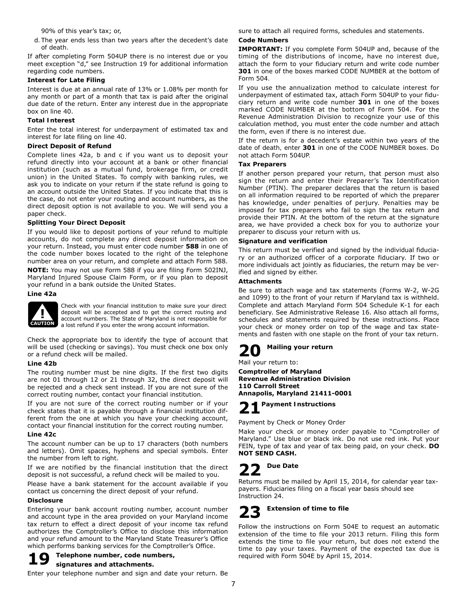90% of this year's tax; or,

d. The year ends less than two years after the decedent's date of death.

If after completing Form 504UP there is no interest due or you meet exception "d," see Instruction 19 for additional information regarding code numbers.

## **Interest for Late Filing**

Interest is due at an annual rate of 13% or 1.08% per month for any month or part of a month that tax is paid after the original due date of the return. Enter any interest due in the appropriate box on line 40.

## **Total Interest**

Enter the total interest for underpayment of estimated tax and interest for late filing on line 40.

## **Direct Deposit of Refund**

Complete lines 42a, b and c if you want us to deposit your refund directly into your account at a bank or other financial institution (such as a mutual fund, brokerage firm, or credit union) in the United States. To comply with banking rules, we ask you to indicate on your return if the state refund is going to an account outside the United States. If you indicate that this is the case, do not enter your routing and account numbers, as the direct deposit option is not available to you. We will send you a paper check.

## **Splitting Your Direct Deposit**

If you would like to deposit portions of your refund to multiple accounts, do not complete any direct deposit information on your return. Instead, you must enter code number **588** in one of the code number boxes located to the right of the telephone number area on your return, and complete and attach Form 588.

**NOTE:** You may not use Form 588 if you are filing Form 502INJ, Maryland Injured Spouse Claim Form, or if you plan to deposit your refund in a bank outside the United States.

**Line 42a** 



Check with your financial institution to make sure your direct deposit will be accepted and to get the correct routing and account numbers. The State of Maryland is not responsible for a lost refund if you enter the wrong account information.

Check the appropriate box to identify the type of account that will be used (checking or savings). You must check one box only or a refund check will be mailed.

## **Line 42b**

The routing number must be nine digits. If the first two digits are not 01 through 12 or 21 through 32, the direct deposit will be rejected and a check sent instead. If you are not sure of the correct routing number, contact your financial institution.

If you are not sure of the correct routing number or if your check states that it is payable through a financial institution different from the one at which you have your checking account, contact your financial institution for the correct routing number.

## **Line 42c**

The account number can be up to 17 characters (both numbers and letters). Omit spaces, hyphens and special symbols. Enter the number from left to right.

If we are notified by the financial institution that the direct deposit is not successful, a refund check will be mailed to you.

Please have a bank statement for the account available if you contact us concerning the direct deposit of your refund.

## **Disclosure**

Entering your bank account routing number, account number and account type in the area provided on your Maryland income tax return to effect a direct deposit of your income tax refund authorizes the Comptroller's Office to disclose this information and your refund amount to the Maryland State Treasurer's Office which performs banking services for the Comptroller's Office.

## **19 Telephone number, code numbers,**

## **signatures and attachments.**

Enter your telephone number and sign and date your return. Be

sure to attach all required forms, schedules and statements.

## **Code Numbers**

**IMPORTANT:** If you complete Form 504UP and, because of the timing of the distributions of income, have no interest due, attach the form to your fiduciary return and write code number **301** in one of the boxes marked CODE NUMBER at the bottom of Form 504.

If you use the annualization method to calculate interest for underpayment of estimated tax, attach Form 504UP to your fiduciary return and write code number **301** in one of the boxes marked CODE NUMBER at the bottom of Form 504. For the Revenue Administration Division to recognize your use of this calculation method, you must enter the code number and attach the form, even if there is no interest due.

If the return is for a decedent's estate within two years of the date of death, enter **301** in one of the CODE NUMBER boxes. Do not attach Form 504UP.

## **Tax Preparers**

If another person prepared your return, that person must also sign the return and enter their Preparer's Tax Identification Number (PTIN). The preparer declares that the return is based on all information required to be reported of which the preparer has knowledge, under penalties of perjury. Penalties may be imposed for tax preparers who fail to sign the tax return and provide their PTIN. At the bottom of the return at the signature area, we have provided a check box for you to authorize your preparer to discuss your return with us.

## **Signature and verification**

This return must be verified and signed by the individual fiduciary or an authorized officer of a corporate fiduciary. If two or more individuals act jointly as fiduciaries, the return may be verified and signed by either.

## **Attachments**

Be sure to attach wage and tax statements (Forms W-2, W-2G and 1099) to the front of your return if Maryland tax is withheld. Complete and attach Maryland Form 504 Schedule K-1 for each beneficiary. See Administrative Release 16. Also attach all forms, schedules and statements required by these instructions. Place your check or money order on top of the wage and tax statements and fasten with one staple on the front of your tax return.



Mail your return to:

**Comptroller of Maryland Revenue Administration Division 110 Carroll Street Annapolis, Maryland 21411-0001**

**21 Payment Instructions**

Payment by Check or Money Order

Make your check or money order payable to "Comptroller of Maryland." Use blue or black ink. Do not use red ink. Put your FEIN, type of tax and year of tax being paid, on your check. **DO NOT SEND CASH.**

## **22 Due Date**

Returns must be mailed by April 15, 2014, for calendar year taxpayers. Fiduciaries filing on a fiscal year basis should see Instruction 24.

# **23 Extension of time to file**

Follow the instructions on Form 504E to request an automatic extension of the time to file your 2013 return. Filing this form extends the time to file your return, but does not extend the time to pay your taxes. Payment of the expected tax due is required with Form 504E by April 15, 2014.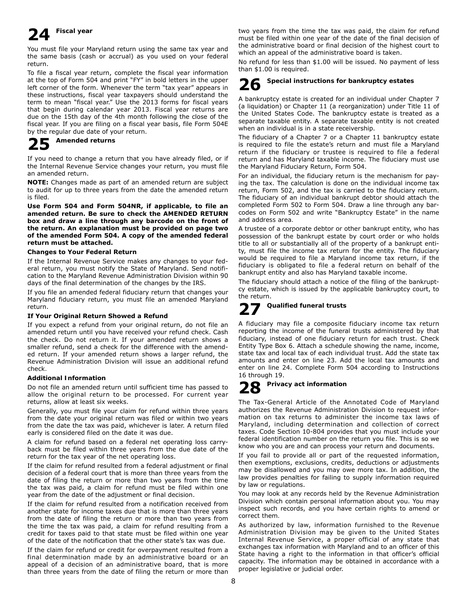# **24 Fiscal year**

You must file your Maryland return using the same tax year and the same basis (cash or accrual) as you used on your federal return.

To file a fiscal year return, complete the fiscal year information at the top of Form 504 and print "FY" in bold letters in the upper left corner of the form. Whenever the term "tax year" appears in these instructions, fiscal year taxpayers should understand the term to mean "fiscal year." Use the 2013 forms for fiscal years that begin during calendar year 2013. Fiscal year returns are due on the 15th day of the 4th month following the close of the fiscal year. If you are filing on a fiscal year basis, file Form 504E by the regular due date of your return.

## **25 Amended returns**

If you need to change a return that you have already filed, or if the Internal Revenue Service changes your return, you must file an amended return.

**NOTE:** Changes made as part of an amended return are subject to audit for up to three years from the date the amended return is filed.

**Use Form 504 and Form 504NR, if applicable, to file an amended return. Be sure to check the AMENDED RETURN box and draw a line through any barcode on the front of the return. An explanation must be provided on page two of the amended Form 504. A copy of the amended federal return must be attached.**

## **Changes to Your Federal Return**

If the Internal Revenue Service makes any changes to your federal return, you must notify the State of Maryland. Send notification to the Maryland Revenue Administration Division within 90 days of the final determination of the changes by the IRS.

If you file an amended federal fiduciary return that changes your Maryland fiduciary return, you must file an amended Maryland return.

## **If Your Original Return Showed a Refund**

If you expect a refund from your original return, do not file an amended return until you have received your refund check. Cash the check. Do not return it. If your amended return shows a smaller refund, send a check for the difference with the amended return. If your amended return shows a larger refund, the Revenue Administration Division will issue an additional refund check.

## **Additional Information**

Do not file an amended return until sufficient time has passed to allow the original return to be processed. For current year returns, allow at least six weeks.

Generally, you must file your claim for refund within three years from the date your original return was filed or within two years from the date the tax was paid, whichever is later. A return filed early is considered filed on the date it was due.

A claim for refund based on a federal net operating loss carryback must be filed within three years from the due date of the return for the tax year of the net operating loss.

If the claim for refund resulted from a federal adjustment or final decision of a federal court that is more than three years from the date of filing the return or more than two years from the time the tax was paid, a claim for refund must be filed within one year from the date of the adjustment or final decision.

If the claim for refund resulted from a notification received from another state for income taxes due that is more than three years from the date of filing the return or more than two years from the time the tax was paid, a claim for refund resulting from a credit for taxes paid to that state must be filed within one year of the date of the notification that the other state's tax was due.

If the claim for refund or credit for overpayment resulted from a final determination made by an administrative board or an appeal of a decision of an administrative board, that is more than three years from the date of filing the return or more than

two years from the time the tax was paid, the claim for refund must be filed within one year of the date of the final decision of the administrative board or final decision of the highest court to which an appeal of the administrative board is taken.

No refund for less than \$1.00 will be issued. No payment of less than \$1.00 is required.

# **26 Special instructions for bankruptcy estates**

A bankruptcy estate is created for an individual under Chapter 7 (a liquidation) or Chapter 11 (a reorganization) under Title 11 of the United States Code. The bankruptcy estate is treated as a separate taxable entity. A separate taxable entity is not created when an individual is in a state receivership.

The fiduciary of a Chapter 7 or a Chapter 11 bankruptcy estate is required to file the estate's return and must file a Maryland return if the fiduciary or trustee is required to file a federal return and has Maryland taxable income. The fiduciary must use the Maryland Fiduciary Return, Form 504.

For an individual, the fiduciary return is the mechanism for paying the tax. The calculation is done on the individual income tax return, Form 502, and the tax is carried to the fiduciary return. The fiduciary of an individual bankrupt debtor should attach the completed Form 502 to Form 504. Draw a line through any barcodes on Form 502 and write "Bankruptcy Estate" in the name and address area.

A trustee of a corporate debtor or other bankrupt entity, who has possession of the bankrupt estate by court order or who holds title to all or substantially all of the property of a bankrupt entity, must file the income tax return for the entity. The fiduciary would be required to file a Maryland income tax return, if the fiduciary is obligated to file a federal return on behalf of the bankrupt entity and also has Maryland taxable income.

The fiduciary should attach a notice of the filing of the bankruptcy estate, which is issued by the applicable bankruptcy court, to the return.

# **27 Qualified funeral trusts**

A fiduciary may file a composite fiduciary income tax return reporting the income of the funeral trusts administered by that fiduciary, instead of one fiduciary return for each trust. Check Entity Type Box 6. Attach a schedule showing the name, income, state tax and local tax of each individual trust. Add the state tax amounts and enter on line 23. Add the local tax amounts and enter on line 24. Complete Form 504 according to Instructions 16 through 19.

# **28 Privacy act information**

The Tax-General Article of the Annotated Code of Maryland authorizes the Revenue Administration Division to request information on tax returns to administer the income tax laws of Maryland, including determination and collection of correct taxes. Code Section 10-804 provides that you must include your federal identification number on the return you file. This is so we know who you are and can process your return and documents.

If you fail to provide all or part of the requested information, then exemptions, exclusions, credits, deductions or adjustments may be disallowed and you may owe more tax. In addition, the law provides penalties for failing to supply information required by law or regulations.

You may look at any records held by the Revenue Administration Division which contain personal information about you. You may inspect such records, and you have certain rights to amend or correct them.

As authorized by law, information furnished to the Revenue Administration Division may be given to the United States Internal Revenue Service, a proper official of any state that exchanges tax information with Maryland and to an officer of this State having a right to the information in that officer's official capacity. The information may be obtained in accordance with a proper legislative or judicial order.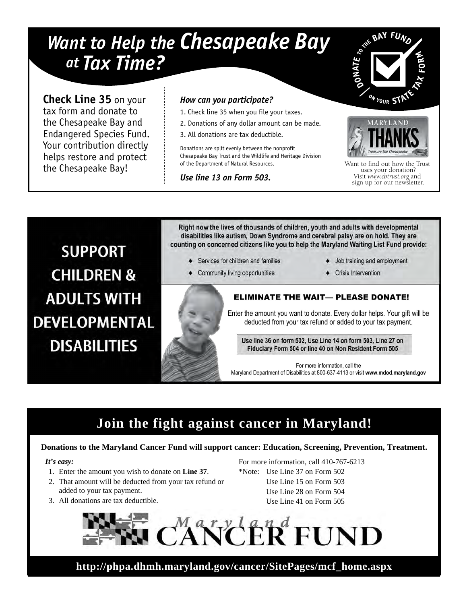# *Want to Help the Chesapeake Bay at Tax Time?*

**Check Line 35** on your tax form and donate to the Chesapeake Bay and Endangered Species Fund. Your contribution directly helps restore and protect the Chesapeake Bay!

## *How can you participate?*

- 1. Check line 35 when you file your taxes.
- 2. Donations of any dollar amount can be made.
- 3. All donations are tax deductible.

Donations are split evenly between the nonprofit Chesapeake Bay Trust and the Wildlife and Heritage Division of the Department of Natural Resources.

*Use line 13 on Form 503.*





Want to find out how the Trust uses your donation? Visit *www.cbtrust.org* and sign up for our newsletter.

**SUPPORT CHILDREN & ADULTS WITH DEVELOPMENTAL DISABILITIES** 

Right now the lives of thousands of children, youth and adults with developmental disabilities like autism, Down Syndrome and cerebral palsy are on hold. They are counting on concerned citizens like you to help the Maryland Waiting List Fund provide:

- ♦ Services for children and families
- Community living opportunities
- Job training and employment
- Crisis Intervention

## **ELIMINATE THE WAIT— PLEASE DONATE!**

Enter the amount you want to donate. Every dollar helps. Your gift will be deducted from your tax refund or added to your tax payment.

Use line 36 on form 502, Use Line 14 on form 503, Line 27 on Fiduciary Form 504 or line 40 on Non Resident Form 505

For more information, call the Maryland Department of Disabilities at 800-637-4113 or visit www.mdod.maryland.gov

# **Join the fight against cancer in Maryland!**

## **Donations to the Maryland Cancer Fund will support cancer: Education, Screening, Prevention, Treatment.**

## *It's easy:*

- 1. Enter the amount you wish to donate on **Line 37**.
- 2. That amount will be deducted from your tax refund or added to your tax payment.
- 3. All donations are tax deductible.

For more information, call 410-767-6213 \*Note: Use Line 37 on Form 502 Use Line 15 on Form 503 Use Line 28 on Form 504 Use Line 41 on Form 505



**http://phpa.dhmh.maryland.gov/cancer/SitePages/mcf\_home.aspx**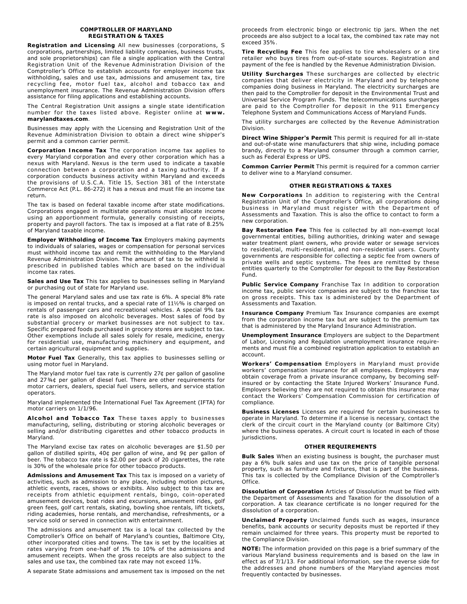#### **COMPTROLLER OF MARYLAND REGISTRATION & TAXES**

**Registration and Licensing** All new businesses (corporations, S corporations, partnerships, limited liability companies, business trusts, and sole proprietorships) can file a single application with the Central Registration Unit of the Revenue Administration Division of the Comptroller's Office to establish accounts for employer income tax withholding, sales and use tax, admissions and amusement tax, tire recycling fee, motor fuel tax, alcohol and tobacco tax and unemployment insurance. The Revenue Administration Division offers assistance for filing applications and establishing accounts.

The Central Registration Unit assigns a single state identification number for the taxes listed above. Register online at **www. marylandtaxes.com**.

Businesses may apply with the Licensing and Registration Unit of the Revenue Administration Division to obtain a direct wine shipper's permit and a common carrier permit.

**Corporation Income Tax** The corporation income tax applies to every Maryland corporation and every other corporation which has a nexus with Maryland. Nexus is the term used to indicate a taxable connection between a corporation and a taxing authority. If a corporation conducts business activity within Maryland and exceeds the provisions of U.S.C.A. Title 15, Section 381 of the Interstate Commerce Act (P.L. 86-272) it has a nexus and must file an income tax return.

The tax is based on federal taxable income after state modifications. Corporations engaged in multistate operations must allocate income using an apportionment formula, generally consisting of receipts, property and payroll factors. The tax is imposed at a flat rate of 8.25% of Maryland taxable income.

**Employer Withholding of Income Tax** Employers making payments to individuals of salaries, wages or compensation for personal services must withhold income tax and remit the withholding to the Maryland Revenue Administration Division. The amount of tax to be withheld is prescribed in published tables which are based on the individual income tax rates.

**Sales and Use Tax** This tax applies to businesses selling in Maryland or purchasing out of state for Maryland use.

The general Maryland sales and use tax rate is 6%. A special 8% rate is imposed on rental trucks, and a special rate of 11*½*% is charged on rentals of passenger cars and recreational vehicles. A special 9% tax rate is also imposed on alcoholic beverages. Most sales of food by substantial grocery or market businesses are not subject to tax. Specific prepared foods purchased in grocery stores are subject to tax. Other exemptions include all sales solely for resale, medicine, energy for residential use, manufacturing machinery and equipment, and certain agricultural equipment and supplies.

**Motor Fuel Tax** Generally, this tax applies to businesses selling or using motor fuel in Maryland.

The Maryland motor fuel tax rate is currently 27¢ per gallon of gasoline and 27¾¢ per gallon of diesel fuel. There are other requirements for motor carriers, dealers, special fuel users, sellers, and service station operators.

Maryland implemented the International Fuel Tax Agreement (IFTA) for motor carriers on 1/1/96.

**Alcohol and Tobacco Tax** These taxes apply to businesses manufacturing, selling, distributing or storing alcoholic beverages or selling and/or distributing cigarettes and other tobacco products in Maryland.

The Maryland excise tax rates on alcoholic beverages are \$1.50 per gallon of distilled spirits, 40¢ per gallon of wine, and 9¢ per gallon of beer. The tobacco tax rate is \$2.00 per pack of 20 cigarettes, the rate is 30% of the wholesale price for other tobacco products.

**Admissions and Amusement Tax** This tax is imposed on a variety of activities, such as admission to any place, including motion pictures, athletic events, races, shows or exhibits. Also subject to this tax are receipts from athletic equipment rentals, bingo, coin-operated amusement devices, boat rides and excursions, amusement rides, golf green fees, golf cart rentals, skating, bowling shoe rentals, lift tickets, riding academies, horse rentals, and merchandise, refreshments, or a service sold or served in connection with entertainment.

The admissions and amusement tax is a local tax collected by the Comptroller's Office on behalf of Maryland's counties, Baltimore City, other incorporated cities and towns. The tax is set by the localities at rates varying from one-half of 1% to 10% of the admissions and amusement receipts. When the gross receipts are also subject to the sales and use tax, the combined tax rate may not exceed 11%.

A separate State admissions and amusement tax is imposed on the net

proceeds from electronic bingo or electronic tip jars. When the net proceeds are also subject to a local tax, the combined tax rate may not exceed 35%.

**Tire Recycling Fee** This fee applies to tire wholesalers or a tire retailer who buys tires from out-of-state sources. Registration and payment of the fee is handled by the Revenue Administration Division.

**Utility Surcharges** These surcharges are collected by electric companies that deliver electricity in Maryland and by telephone companies doing business in Maryland. The electricity surcharges are then paid to the Comptroller for deposit in the Environmental Trust and Universal Service Program Funds. The telecommunications surcharges are paid to the Comptroller for deposit in the 911 Emergency Telephone System and Communications Access of Maryland Funds.

The utility surcharges are collected by the Revenue Administration Division.

**Direct Wine Shipper's Permit** This permit is required for all in-state and out-of-state wine manufacturers that ship wine, including pomace brandy, directly to a Maryland consumer through a common carrier, such as Federal Express or UPS.

**Common Carrier Permit** This permit is required for a common carrier to deliver wine to a Maryland consumer.

#### **OTHER REGISTRATIONS & TAXES**

**New Corporations** In addition to registering with the Central Registration Unit of the Comptroller's Office, all corporations doing business in Maryland must register with the Department of Assessments and Taxation. This is also the office to contact to form a new corporation.

**Bay Restoration Fee** This fee is collected by all non-exempt local governmental entities, billing authorities, drinking water and sewage water treatment plant owners, who provide water or sewage services to residential, multi-residential, and non-residential users. County governments are responsible for collecting a septic fee from owners of private wells and septic systems. The fees are remitted by these entities quarterly to the Comptroller for deposit to the Bay Restoration Fund.

**Public Service Company** Franchise Tax In addition to corporation income tax, public service companies are subject to the franchise tax on gross receipts. This tax is administered by the Department of Assessments and Taxation.

**Insurance Company** Premium Tax Insurance companies are exempt from the corporation income tax but are subject to the premium tax that is administered by the Maryland Insurance Administration.

**Unemployment Insurance** Employers are subject to the Department of Labor, Licensing and Regulation unemployment insurance requirements and must file a combined registration application to establish an account.

**Workers' Compensation** Employers in Maryland must provide workers' compensation insurance for all employees. Employers may obtain coverage from a private insurance company, by becoming selfinsured or by contacting the State Injured Workers' Insurance Fund. Employers believing they are not required to obtain this insurance may contact the Workers' Compensation Commission for certification of compliance.

**Business Licenses** Licenses are required for certain businesses to operate in Maryland. To determine if a license is necessary, contact the clerk of the circuit court in the Maryland county (or Baltimore City) where the business operates. A circuit court is located in each of those jurisdictions.

#### **OTHER REQUIREMENTS**

**Bulk Sales** When an existing business is bought, the purchaser must pay a 6% bulk sales and use tax on the price of tangible personal property, such as furniture and fixtures, that is part of the business. This tax is collected by the Compliance Division of the Comptroller's Office.

**Dissolution of Corporation** Articles of Dissolution must be filed with the Department of Assessments and Taxation for the dissolution of a corporation. A tax clearance certificate is no longer required for the dissolution of a corporation.

**Unclaimed Property** Unclaimed funds such as wages, insurance benefits, bank accounts or security deposits must be reported if they remain unclaimed for three years. This property must be reported to the Compliance Division.

**NOTE:** The information provided on this page is a brief summary of the various Maryland business requirements and is based on the law in effect as of 7/1/13. For additional information, see the reverse side for the addresses and phone numbers of the Maryland agencies most frequently contacted by businesses.